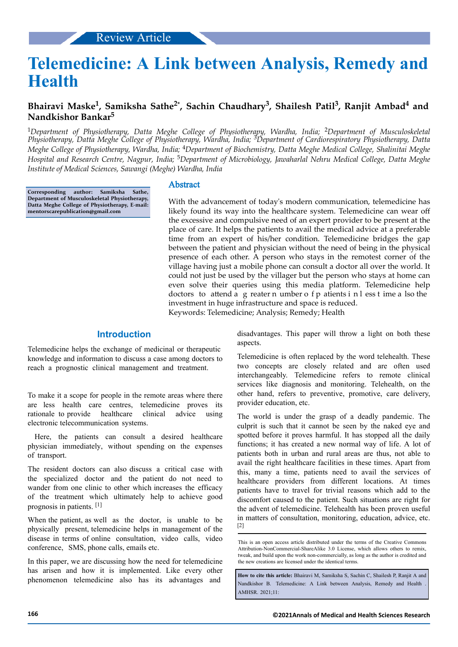# **Telemedicine: A Link between Analysis, Remedy and Health**

## **Bhairavi Maske<sup>1</sup> , Samiksha Sathe2\* , Sachin Chaudhary<sup>3</sup> , Shailesh Patil<sup>3</sup> , Ranjit Ambad<sup>4</sup> and Nandkishor Bankar<sup>5</sup>**

<sup>1</sup>*Department of Physiotherapy, Datta Meghe College of Physiotherapy, Wardha, India;* 2*Department of Musculoskeletal Physiotherapy, Datta Meghe College of Physiotherapy, Wardha, India;* 3*Department of Cardiorespiratory Physiotherapy, Datta Meghe College of Physiotherapy, Wardha, India;* 4*Department of Biochemistry, Datta Meghe Medical College, Shalinitai Meghe Hospital and Research Centre, Nagpur, India;* 5*Department of Microbiology, Jawaharlal Nehru Medical College, Datta Meghe Institute of Medical Sciences, Sawangi (Meghe) Wardha, India*

**Corresponding author: Samiksha Sathe, Department of Musculoskeletal Physiotherapy, Datta Meghe College of Physiotherapy, E-mail: mentorscarepublication@gmail.com**

#### Abstract

With the advancement of today's modern communication, telemedicine has likely found its way into the healthcare system. Telemedicine can wear off the excessive and compulsive need of an expert provider to be present at the place of care. It helps the patients to avail the medical advice at a preferable time from an expert of his/her condition. Telemedicine bridges the gap between the patient and physician without the need of being in the physical presence of each other. A person who stays in the remotest corner of the village having just a mobile phone can consult a doctor all over the world. It could not just be used by the villager but the person who stays at home can even solve their queries using this media platform. Telemedicine help doctors to attend a g reater n umber o f p atients i n l ess t ime a lso the investment in huge infrastructure and space is reduced. Keywords: Telemedicine; Analysis; Remedy; Health

## **Introduction**

Telemedicine helps the exchange of medicinal or therapeutic knowledge and information to discuss a case among doctors to reach a prognostic clinical management and treatment.

To make it a scope for people in the remote areas where there are less health care centres, telemedicine proves its rationale to provide healthcare clinical advice using electronic telecommunication systems.

Here, the patients can consult a desired healthcare physician immediately, without spending on the expenses of transport.

The resident doctors can also discuss a critical case with the specialized doctor and the patient do not need to wander from one clinic to other which increases the efficacy of the treatment which ultimately help to achieve good prognosis in patients. [1]

When the patient, as well as the doctor, is unable to be physically present, telemedicine helps in management of the disease in terms of online consultation, video calls, video conference, SMS, phone calls, emails etc.

In this paper, we are discussing how the need for telemedicine has arisen and how it is implemented. Like every other phenomenon telemedicine also has its advantages and

disadvantages. This paper will throw a light on both these aspects.

Telemedicine is often replaced by the word telehealth. These two concepts are closely related and are often used interchangeably. Telemedicine refers to remote clinical services like diagnosis and monitoring. Telehealth, on the other hand, refers to preventive, promotive, care delivery, provider education, etc.

The world is under the grasp of a deadly pandemic. The culprit is such that it cannot be seen by the naked eye and spotted before it proves harmful. It has stopped all the daily functions; it has created a new normal way of life. A lot of patients both in urban and rural areas are thus, not able to avail the right healthcare facilities in these times. Apart from this, many a time, patients need to avail the services of healthcare providers from different locations. At times patients have to travel for trivial reasons which add to the discomfort caused to the patient. Such situations are right for the advent of telemedicine. Telehealth has been proven useful in matters of consultation, monitoring, education, advice, etc. [2]

**How to cite this article:** Bhairavi M, Samiksha S, Sachin C, Shailesh P, Ranjit A and Nandkishor B. Telemedicine: A Link between Analysis, Remedy and Health AMHSR. 2021;11:

This is an open access article distributed under the terms of the Creative Commons Attribution-NonCommercial-ShareAlike 3.0 License, which allows others to remix, tweak, and build upon the work non‑commercially, as long as the author is credited and the new creations are licensed under the identical terms.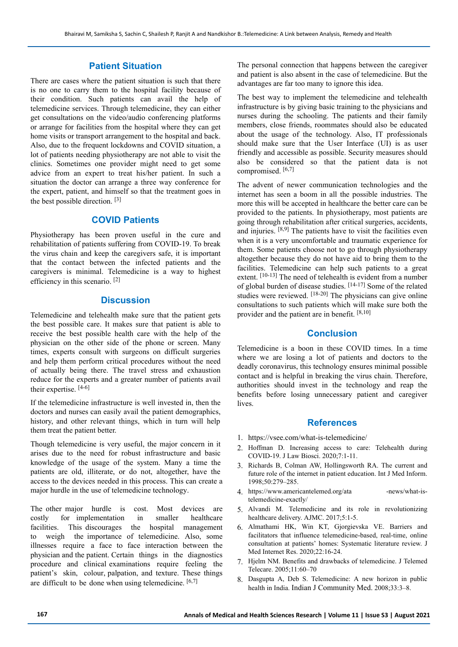#### **Patient Situation**

There are cases where the patient situation is such that there is no one to carry them to the hospital facility because of their condition. Such patients can avail the help of telemedicine services. Through telemedicine, they can either get consultations on the video/audio conferencing platforms or arrange for facilities from the hospital where they can get home visits or transport arrangement to the hospital and back. Also, due to the frequent lockdowns and COVID situation, a lot of patients needing physiotherapy are not able to visit the clinics. Sometimes one provider might need to get some advice from an expert to treat his/her patient. In such a situation the doctor can arrange a three way conference for the expert, patient, and himself so that the treatment goes in the best possible direction. [3]

## **COVID Patients**

Physiotherapy has been proven useful in the cure and rehabilitation of patients suffering from COVID-19. To break the virus chain and keep the caregivers safe, it is important that the contact between the infected patients and the caregivers is minimal. Telemedicine is a way to highest efficiency in this scenario. [2]

### **Discussion**

Telemedicine and telehealth make sure that the patient gets the best possible care. It makes sure that patient is able to receive the best possible health care with the help of the physician on the other side of the phone or screen. Many times, experts consult with surgeons on difficult surgeries and help them perform critical procedures without the need of actually being there. The travel stress and exhaustion reduce for the experts and a greater number of patients avail their expertise. [4-6]

If the telemedicine infrastructure is well invested in, then the doctors and nurses can easily avail the patient demographics, history, and other relevant things, which in turn will help them treat the patient better.

Though telemedicine is very useful, the major concern in it arises due to the need for robust infrastructure and basic knowledge of the usage of the system. Many a time the patients are old, illiterate, or do not, altogether, have the access to the devices needed in this process. This can create a major hurdle in the use of telemedicine technology.

The other major hurdle is cost. Most devices are costly for implementation in smaller healthcare facilities. This discourages the hospital management to weigh the importance of telemedicine. Also, some illnesses require a face to face interaction between the physician and the patient. Certain things in the diagnostics procedure and clinical examinations require feeling the patient's skin, colour, palpation, and texture. These things are difficult to be done when using telemedicine.  $[6,7]$ 

The personal connection that happens between the caregiver and patient is also absent in the case of telemedicine. But the advantages are far too many to ignore this idea.

The best way to implement the telemedicine and telehealth infrastructure is by giving basic training to the physicians and nurses during the schooling. The patients and their family members, close friends, roommates should also be educated about the usage of the technology. Also, IT professionals should make sure that the User Interface (UI) is as user friendly and accessible as possible. Security measures should also be considered so that the patient data is not compromised. [6,7]

The advent of newer communication technologies and the internet has seen a boom in all the possible industries. The more this will be accepted in healthcare the better care can be provided to the patients. In physiotherapy, most patients are going through rehabilitation after critical surgeries, accidents, and injuries. [8,9] The patients have to visit the facilities even when it is a very uncomfortable and traumatic experience for them. Some patients choose not to go through physiotherapy altogether because they do not have aid to bring them to the facilities. Telemedicine can help such patients to a great extent. [10-13] The need of telehealth is evident from a number of global burden of disease studies. [14-17] Some of the related studies were reviewed. [18-20] The physicians can give online consultations to such patients which will make sure both the provider and the patient are in benefit. [8,10]

#### **Conclusion**

Telemedicine is a boon in these COVID times. In a time where we are losing a lot of patients and doctors to the deadly coronavirus, this technology ensures minimal possible contact and is helpful in breaking the virus chain. Therefore, authorities should invest in the technology and reap the benefits before losing unnecessary patient and caregiver lives.

#### **References**

- 1. <https://vsee.com/what-is-telemedicine/>
- 2. Hoffman D. Increasing access to care: Telehealth during COVID-19. J Law Biosci. 2020;7:1-11.
- 3. Richards B, Colman AW, Hollingsworth RA. The current and future role of the internet in patient education. Int J Med Inform. 1998;50:279–285.
- 4. https://www.americantelemed.org/ata -news/what-istelemedicine-exactly/
- 5. Alvandi M. Telemedicine and its role in revolutionizing healthcare delivery. AJMC. 2017;5:1-5.
- 6. Almathami HK, Win KT, Gjorgievska VE. Barriers and facilitators that influence telemedicine-based, real-time, online consultation at patients' homes: Systematic literature review. J Med Internet Res. 2020;22:16-24.
- 7. Hjelm NM. Benefits and drawbacks of telemedicine. J Telemed Telecare. 2005;11:60–70
- 8. Dasgupta A, Deb S. Telemedicine: A new horizon in public health in India. [Indian J Community Med.](https://www.ncbi.nlm.nih.gov/pmc/articles/PMC2782224/) 2008;33:3–8.